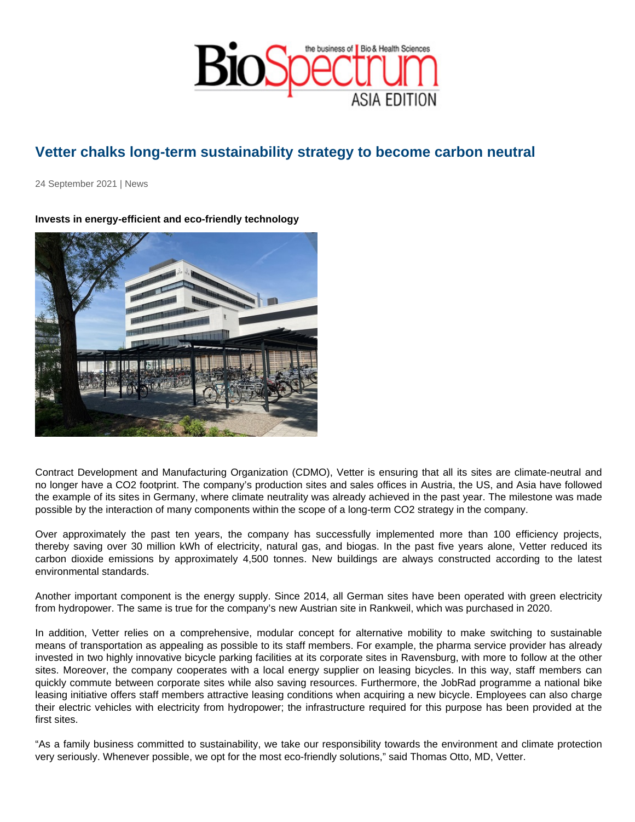## Vetter chalks long-term sustainability strategy to become carbon neutral

24 September 2021 | News

Invests in energy-efficient and eco-friendly technology

Contract Development and Manufacturing Organization (CDMO), Vetter is ensuring that all its sites are climate-neutral and no longer have a CO2 footprint. The company's production sites and sales offices in Austria, the US, and Asia have followed the example of its sites in Germany, where climate neutrality was already achieved in the past year. The milestone was made possible by the interaction of many components within the scope of a long-term CO2 strategy in the company.

Over approximately the past ten years, the company has successfully implemented more than 100 efficiency projects, thereby saving over 30 million kWh of electricity, natural gas, and biogas. In the past five years alone, Vetter reduced its carbon dioxide emissions by approximately 4,500 tonnes. New buildings are always constructed according to the latest environmental standards.

Another important component is the energy supply. Since 2014, all German sites have been operated with green electricity from hydropower. The same is true for the company's new Austrian site in Rankweil, which was purchased in 2020.

In addition, Vetter relies on a comprehensive, modular concept for alternative mobility to make switching to sustainable means of transportation as appealing as possible to its staff members. For example, the pharma service provider has already invested in two highly innovative bicycle parking facilities at its corporate sites in Ravensburg, with more to follow at the other sites. Moreover, the company cooperates with a local energy supplier on leasing bicycles. In this way, staff members can quickly commute between corporate sites while also saving resources. Furthermore, the JobRad programme a national bike leasing initiative offers staff members attractive leasing conditions when acquiring a new bicycle. Employees can also charge their electric vehicles with electricity from hydropower; the infrastructure required for this purpose has been provided at the first sites.

"As a family business committed to sustainability, we take our responsibility towards the environment and climate protection very seriously. Whenever possible, we opt for the most eco-friendly solutions," said Thomas Otto, MD, Vetter.